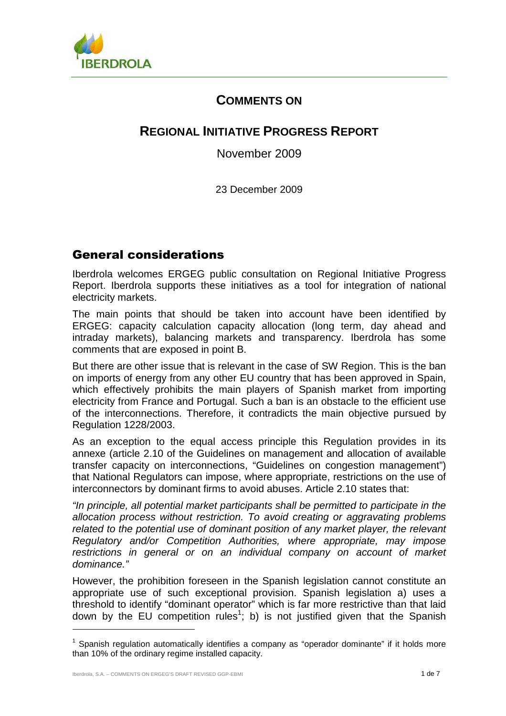

## **COMMENTS ON**

# **REGIONAL INITIATIVE PROGRESS REPORT**

November 2009

23 December 2009

## General considerations

Iberdrola welcomes ERGEG public consultation on Regional Initiative Progress Report. Iberdrola supports these initiatives as a tool for integration of national electricity markets.

The main points that should be taken into account have been identified by ERGEG: capacity calculation capacity allocation (long term, day ahead and intraday markets), balancing markets and transparency. Iberdrola has some comments that are exposed in point B.

But there are other issue that is relevant in the case of SW Region. This is the ban on imports of energy from any other EU country that has been approved in Spain, which effectively prohibits the main players of Spanish market from importing electricity from France and Portugal. Such a ban is an obstacle to the efficient use of the interconnections. Therefore, it contradicts the main objective pursued by Regulation 1228/2003.

As an exception to the equal access principle this Regulation provides in its annexe (article 2.10 of the Guidelines on management and allocation of available transfer capacity on interconnections, "Guidelines on congestion management") that National Regulators can impose, where appropriate, restrictions on the use of interconnectors by dominant firms to avoid abuses. Article 2.10 states that:

"In principle, all potential market participants shall be permitted to participate in the allocation process without restriction. To avoid creating or aggravating problems related to the potential use of dominant position of any market player, the relevant Regulatory and/or Competition Authorities, where appropriate, may impose restrictions in general or on an individual company on account of market dominance."

However, the prohibition foreseen in the Spanish legislation cannot constitute an appropriate use of such exceptional provision. Spanish legislation a) uses a threshold to identify "dominant operator" which is far more restrictive than that laid down by the EU competition rules<sup>1</sup>; b) is not justified given that the Spanish

l

 $1$  Spanish regulation automatically identifies a company as "operador dominante" if it holds more than 10% of the ordinary regime installed capacity.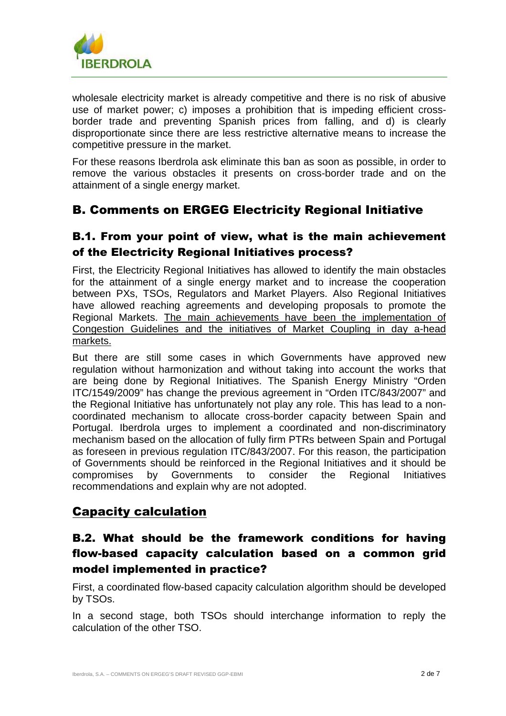

wholesale electricity market is already competitive and there is no risk of abusive use of market power; c) imposes a prohibition that is impeding efficient crossborder trade and preventing Spanish prices from falling, and d) is clearly disproportionate since there are less restrictive alternative means to increase the competitive pressure in the market.

For these reasons Iberdrola ask eliminate this ban as soon as possible, in order to remove the various obstacles it presents on cross-border trade and on the attainment of a single energy market.

## B. Comments on ERGEG Electricity Regional Initiative

#### B.1. From your point of view, what is the main achievement of the Electricity Regional Initiatives process?

First, the Electricity Regional Initiatives has allowed to identify the main obstacles for the attainment of a single energy market and to increase the cooperation between PXs, TSOs, Regulators and Market Players. Also Regional Initiatives have allowed reaching agreements and developing proposals to promote the Regional Markets. The main achievements have been the implementation of Congestion Guidelines and the initiatives of Market Coupling in day a-head markets.

But there are still some cases in which Governments have approved new regulation without harmonization and without taking into account the works that are being done by Regional Initiatives. The Spanish Energy Ministry "Orden ITC/1549/2009" has change the previous agreement in "Orden ITC/843/2007" and the Regional Initiative has unfortunately not play any role. This has lead to a noncoordinated mechanism to allocate cross-border capacity between Spain and Portugal. Iberdrola urges to implement a coordinated and non-discriminatory mechanism based on the allocation of fully firm PTRs between Spain and Portugal as foreseen in previous regulation ITC/843/2007. For this reason, the participation of Governments should be reinforced in the Regional Initiatives and it should be compromises by Governments to consider the Regional Initiatives recommendations and explain why are not adopted.

## Capacity calculation

## B.2. What should be the framework conditions for having flow-based capacity calculation based on a common grid model implemented in practice?

First, a coordinated flow-based capacity calculation algorithm should be developed by TSOs.

In a second stage, both TSOs should interchange information to reply the calculation of the other TSO.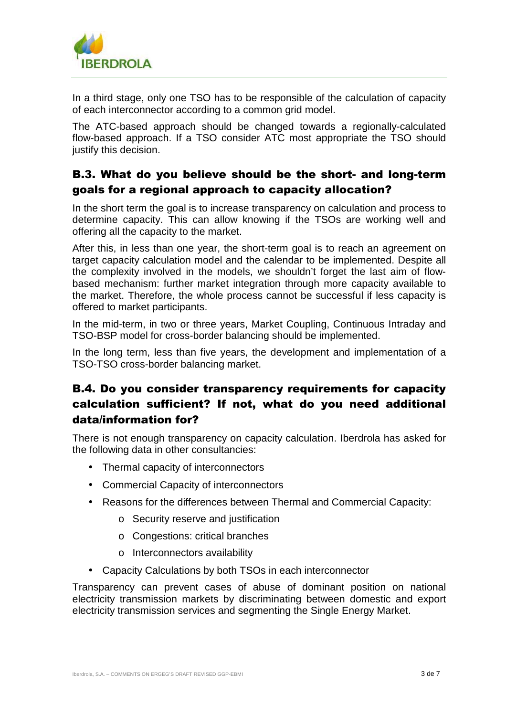

In a third stage, only one TSO has to be responsible of the calculation of capacity of each interconnector according to a common grid model.

The ATC-based approach should be changed towards a regionally-calculated flow-based approach. If a TSO consider ATC most appropriate the TSO should justify this decision.

## B.3. What do you believe should be the short- and long-term goals for a regional approach to capacity allocation?

In the short term the goal is to increase transparency on calculation and process to determine capacity. This can allow knowing if the TSOs are working well and offering all the capacity to the market.

After this, in less than one year, the short-term goal is to reach an agreement on target capacity calculation model and the calendar to be implemented. Despite all the complexity involved in the models, we shouldn't forget the last aim of flowbased mechanism: further market integration through more capacity available to the market. Therefore, the whole process cannot be successful if less capacity is offered to market participants.

In the mid-term, in two or three years, Market Coupling, Continuous Intraday and TSO-BSP model for cross-border balancing should be implemented.

In the long term, less than five years, the development and implementation of a TSO-TSO cross-border balancing market.

## B.4. Do you consider transparency requirements for capacity calculation sufficient? If not, what do you need additional data/information for?

There is not enough transparency on capacity calculation. Iberdrola has asked for the following data in other consultancies:

- Thermal capacity of interconnectors
- Commercial Capacity of interconnectors
- Reasons for the differences between Thermal and Commercial Capacity:
	- o Security reserve and justification
	- o Congestions: critical branches
	- o Interconnectors availability
- Capacity Calculations by both TSOs in each interconnector

Transparency can prevent cases of abuse of dominant position on national electricity transmission markets by discriminating between domestic and export electricity transmission services and segmenting the Single Energy Market.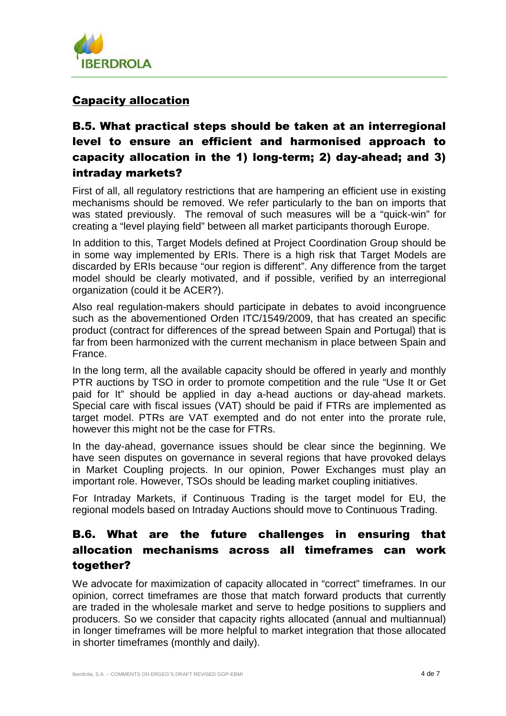

#### Capacity allocation

## B.5. What practical steps should be taken at an interregional level to ensure an efficient and harmonised approach to capacity allocation in the 1) long-term; 2) day-ahead; and 3) intraday markets?

First of all, all regulatory restrictions that are hampering an efficient use in existing mechanisms should be removed. We refer particularly to the ban on imports that was stated previously. The removal of such measures will be a "quick-win" for creating a "level playing field" between all market participants thorough Europe.

In addition to this, Target Models defined at Project Coordination Group should be in some way implemented by ERIs. There is a high risk that Target Models are discarded by ERIs because "our region is different". Any difference from the target model should be clearly motivated, and if possible, verified by an interregional organization (could it be ACER?).

Also real regulation-makers should participate in debates to avoid incongruence such as the abovementioned Orden ITC/1549/2009, that has created an specific product (contract for differences of the spread between Spain and Portugal) that is far from been harmonized with the current mechanism in place between Spain and France.

In the long term, all the available capacity should be offered in yearly and monthly PTR auctions by TSO in order to promote competition and the rule "Use It or Get paid for It" should be applied in day a-head auctions or day-ahead markets. Special care with fiscal issues (VAT) should be paid if FTRs are implemented as target model. PTRs are VAT exempted and do not enter into the prorate rule, however this might not be the case for FTRs.

In the day-ahead, governance issues should be clear since the beginning. We have seen disputes on governance in several regions that have provoked delays in Market Coupling projects. In our opinion, Power Exchanges must play an important role. However, TSOs should be leading market coupling initiatives.

For Intraday Markets, if Continuous Trading is the target model for EU, the regional models based on Intraday Auctions should move to Continuous Trading.

## B.6. What are the future challenges in ensuring that allocation mechanisms across all timeframes can work together?

We advocate for maximization of capacity allocated in "correct" timeframes. In our opinion, correct timeframes are those that match forward products that currently are traded in the wholesale market and serve to hedge positions to suppliers and producers. So we consider that capacity rights allocated (annual and multiannual) in longer timeframes will be more helpful to market integration that those allocated in shorter timeframes (monthly and daily).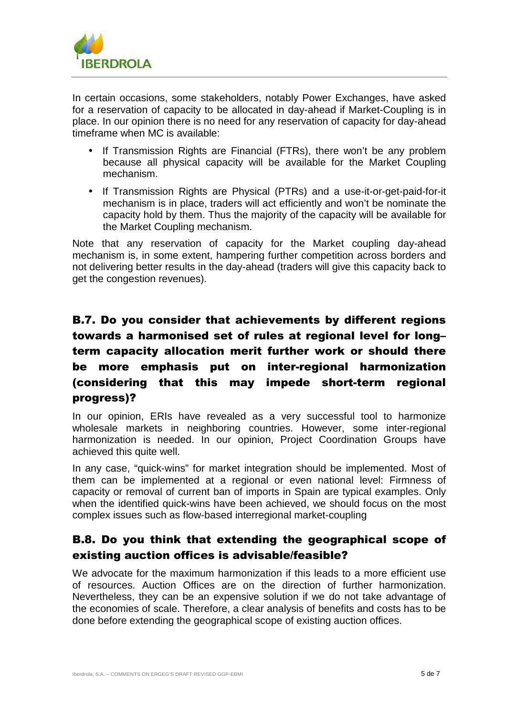

In certain occasions, some stakeholders, notably Power Exchanges, have asked for a reservation of capacity to be allocated in day-ahead if Market-Coupling is in place. In our opinion there is no need for any reservation of capacity for day-ahead timeframe when MC is available:

- If Transmission Rights are Financial (FTRs), there won't be any problem because all physical capacity will be available for the Market Coupling mechanism.
- If Transmission Rights are Physical (PTRs) and a use-it-or-get-paid-for-it mechanism is in place, traders will act efficiently and won't be nominate the capacity hold by them. Thus the majority of the capacity will be available for the Market Coupling mechanism.

Note that any reservation of capacity for the Market coupling day-ahead mechanism is, in some extent, hampering further competition across borders and not delivering better results in the day-ahead (traders will give this capacity back to get the congestion revenues).

## B.7. Do you consider that achievements by different regions towards a harmonised set of rules at regional level for long– term capacity allocation merit further work or should there be more emphasis put on inter-regional harmonization (considering that this may impede short-term regional progress)?

In our opinion, ERIs have revealed as a very successful tool to harmonize wholesale markets in neighboring countries. However, some inter-regional harmonization is needed. In our opinion, Project Coordination Groups have achieved this quite well.

In any case, "quick-wins" for market integration should be implemented. Most of them can be implemented at a regional or even national level: Firmness of capacity or removal of current ban of imports in Spain are typical examples. Only when the identified quick-wins have been achieved, we should focus on the most complex issues such as flow-based interregional market-coupling

## B.8. Do you think that extending the geographical scope of existing auction offices is advisable/feasible?

We advocate for the maximum harmonization if this leads to a more efficient use of resources. Auction Offices are on the direction of further harmonization. Nevertheless, they can be an expensive solution if we do not take advantage of the economies of scale. Therefore, a clear analysis of benefits and costs has to be done before extending the geographical scope of existing auction offices.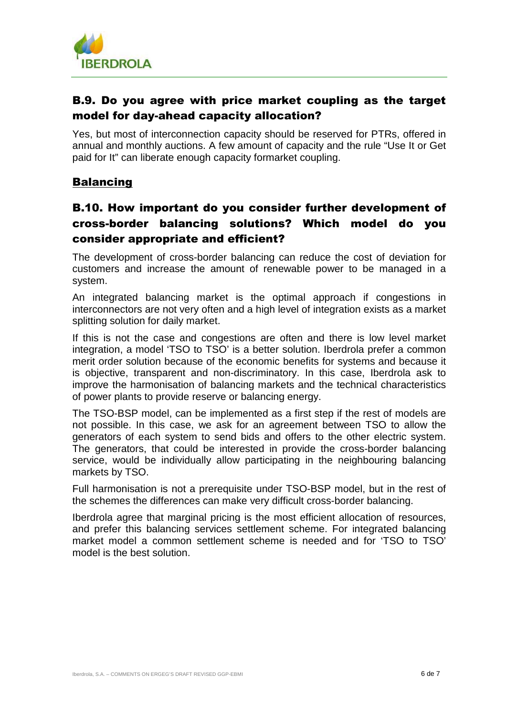

## B.9. Do you agree with price market coupling as the target model for day-ahead capacity allocation?

Yes, but most of interconnection capacity should be reserved for PTRs, offered in annual and monthly auctions. A few amount of capacity and the rule "Use It or Get paid for It" can liberate enough capacity formarket coupling.

#### **Balancing**

## B.10. How important do you consider further development of cross-border balancing solutions? Which model do you consider appropriate and efficient?

The development of cross-border balancing can reduce the cost of deviation for customers and increase the amount of renewable power to be managed in a system.

An integrated balancing market is the optimal approach if congestions in interconnectors are not very often and a high level of integration exists as a market splitting solution for daily market.

If this is not the case and congestions are often and there is low level market integration, a model 'TSO to TSO' is a better solution. Iberdrola prefer a common merit order solution because of the economic benefits for systems and because it is objective, transparent and non-discriminatory. In this case, Iberdrola ask to improve the harmonisation of balancing markets and the technical characteristics of power plants to provide reserve or balancing energy.

The TSO-BSP model, can be implemented as a first step if the rest of models are not possible. In this case, we ask for an agreement between TSO to allow the generators of each system to send bids and offers to the other electric system. The generators, that could be interested in provide the cross-border balancing service, would be individually allow participating in the neighbouring balancing markets by TSO.

Full harmonisation is not a prerequisite under TSO-BSP model, but in the rest of the schemes the differences can make very difficult cross-border balancing.

Iberdrola agree that marginal pricing is the most efficient allocation of resources, and prefer this balancing services settlement scheme. For integrated balancing market model a common settlement scheme is needed and for 'TSO to TSO' model is the best solution.